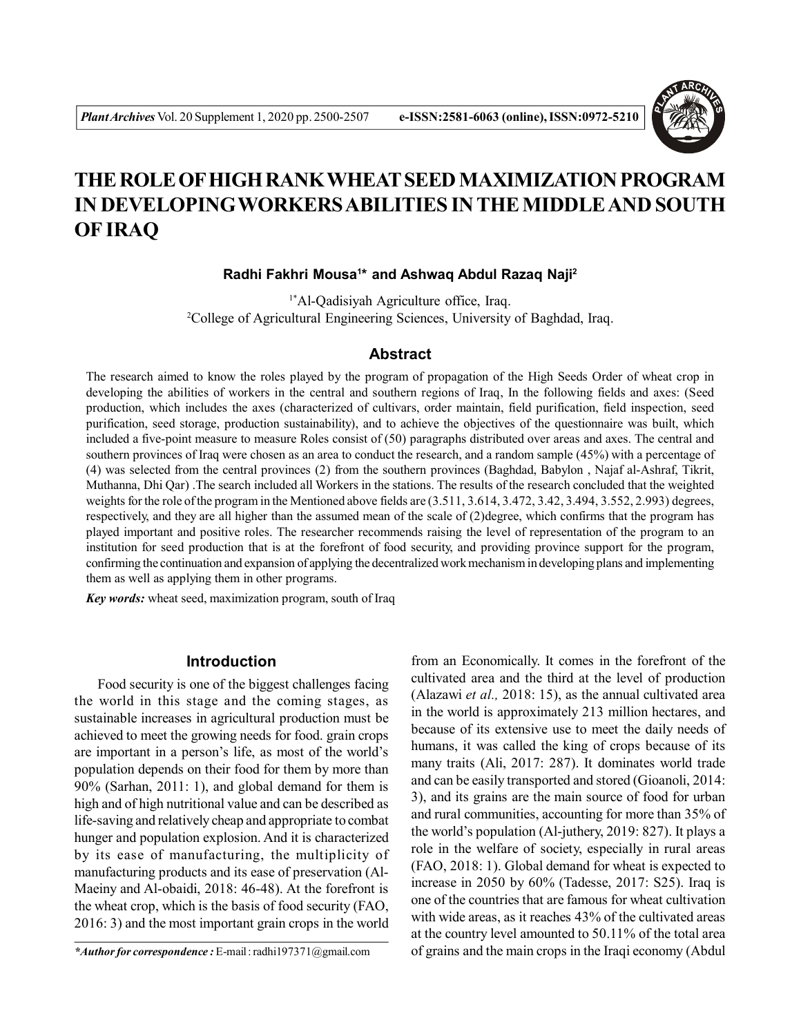

# **THE ROLE OF HIGH RANK WHEAT SEED MAXIMIZATION PROGRAM IN DEVELOPINGWORKERS ABILITIES IN THE MIDDLE AND SOUTH OF IRAQ**

# **Radhi Fakhri Mousa<sup>1</sup> \* and Ashwaq Abdul Razaq Naji<sup>2</sup>**

1\*Al-Qadisiyah Agriculture office, Iraq. <sup>2</sup>College of Agricultural Engineering Sciences, University of Baghdad, Iraq.

# **Abstract**

The research aimed to know the roles played by the program of propagation of the High Seeds Order of wheat crop in developing the abilities of workers in the central and southern regions of Iraq, In the following fields and axes: (Seed production, which includes the axes (characterized of cultivars, order maintain, field purification, field inspection, seed purification, seed storage, production sustainability), and to achieve the objectives of the questionnaire was built, which included a five-point measure to measure Roles consist of (50) paragraphs distributed over areas and axes. The central and southern provinces of Iraq were chosen as an area to conduct the research, and a random sample (45%) with a percentage of (4) was selected from the central provinces (2) from the southern provinces (Baghdad, Babylon , Najaf al-Ashraf, Tikrit, Muthanna, Dhi Qar) .The search included all Workers in the stations. The results of the research concluded that the weighted weights for the role of the program in the Mentioned above fields are  $(3.511, 3.614, 3.472, 3.42, 3.494, 3.552, 2.993)$  degrees, respectively, and they are all higher than the assumed mean of the scale of (2)degree, which confirms that the program has played important and positive roles. The researcher recommends raising the level of representation of the program to an institution for seed production that is at the forefront of food security, and providing province support for the program, confirming the continuation and expansion of applying the decentralized work mechanism in developing plans and implementing them as well as applying them in other programs.

*Key words:* wheat seed, maximization program, south of Iraq

# **Introduction**

Food security is one of the biggest challenges facing the world in this stage and the coming stages, as sustainable increases in agricultural production must be achieved to meet the growing needs for food. grain crops are important in a person's life, as most of the world's population depends on their food for them by more than 90% (Sarhan, 2011: 1), and global demand for them is high and of high nutritional value and can be described as life-saving and relatively cheap and appropriate to combat hunger and population explosion. And it is characterized by its ease of manufacturing, the multiplicity of manufacturing products and its ease of preservation (Al-Maeiny and Al-obaidi, 2018: 46-48). At the forefront is the wheat crop, which is the basis of food security (FAO, 2016: 3) and the most important grain crops in the world from an Economically. It comes in the forefront of the cultivated area and the third at the level of production (Alazawi *et al.,* 2018: 15), as the annual cultivated area in the world is approximately 213 million hectares, and because of its extensive use to meet the daily needs of humans, it was called the king of crops because of its many traits (Ali, 2017: 287). It dominates world trade and can be easily transported and stored (Gioanoli, 2014: 3), and its grains are the main source of food for urban and rural communities, accounting for more than 35% of the world's population (Al-juthery, 2019: 827). It plays a role in the welfare of society, especially in rural areas (FAO, 2018: 1). Global demand for wheat is expected to increase in 2050 by 60% (Tadesse, 2017: S25). Iraq is one of the countries that are famous for wheat cultivation with wide areas, as it reaches 43% of the cultivated areas at the country level amounted to 50.11% of the total area of grains and the main crops in the Iraqi economy (Abdul

*<sup>\*</sup>Author for correspondence :* E-mail : radhi197371@gmail.com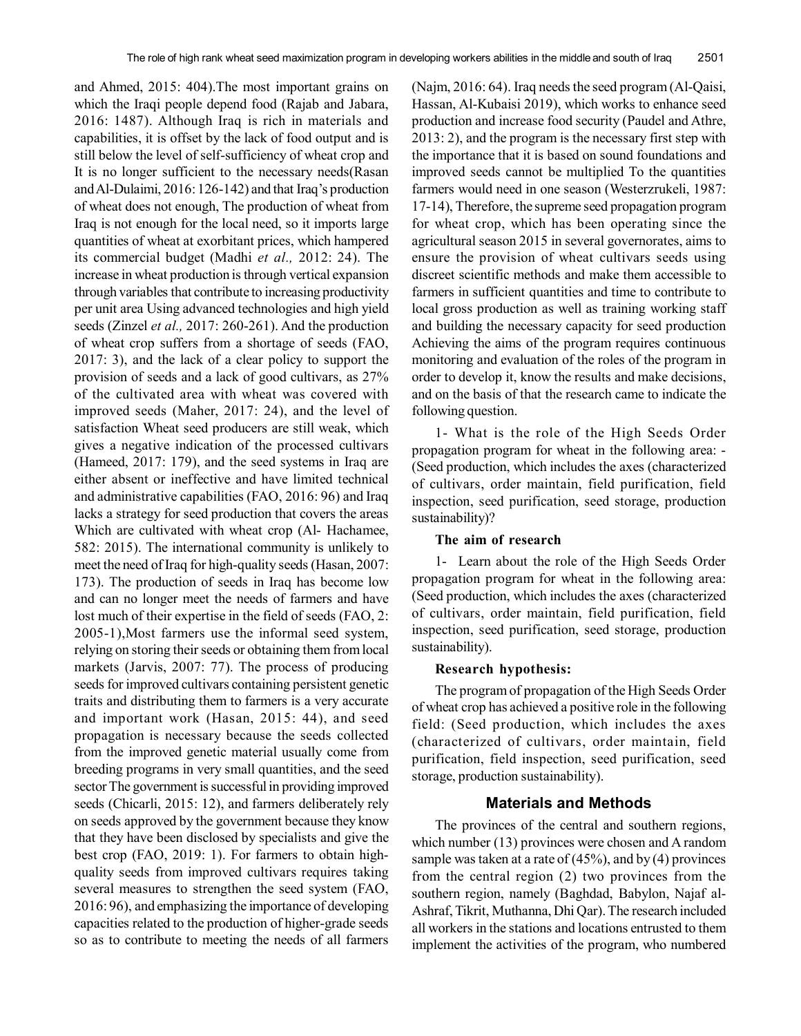and Ahmed, 2015: 404).The most important grains on which the Iraqi people depend food (Rajab and Jabara, 2016: 1487). Although Iraq is rich in materials and capabilities, it is offset by the lack of food output and is still below the level of self-sufficiency of wheat crop and It is no longer sufficient to the necessary needs(Rasan and Al-Dulaimi, 2016: 126-142) and that Iraq's production of wheat does not enough, The production of wheat from Iraq is not enough for the local need, so it imports large quantities of wheat at exorbitant prices, which hampered its commercial budget (Madhi *et al.,* 2012: 24). The increase in wheat production is through vertical expansion through variables that contribute to increasing productivity per unit area Using advanced technologies and high yield seeds (Zinzel *et al.,* 2017: 260-261). And the production of wheat crop suffers from a shortage of seeds (FAO, 2017: 3), and the lack of a clear policy to support the provision of seeds and a lack of good cultivars, as 27% of the cultivated area with wheat was covered with improved seeds (Maher, 2017: 24), and the level of satisfaction Wheat seed producers are still weak, which gives a negative indication of the processed cultivars (Hameed, 2017: 179), and the seed systems in Iraq are either absent or ineffective and have limited technical and administrative capabilities (FAO, 2016: 96) and Iraq lacks a strategy for seed production that covers the areas Which are cultivated with wheat crop (Al- Hachamee, 582: 2015). The international community is unlikely to meet the need of Iraq for high-quality seeds (Hasan, 2007: 173). The production of seeds in Iraq has become low and can no longer meet the needs of farmers and have lost much of their expertise in the field of seeds (FAO, 2: 2005-1),Most farmers use the informal seed system, relying on storing their seeds or obtaining them from local markets (Jarvis, 2007: 77). The process of producing seeds for improved cultivars containing persistent genetic traits and distributing them to farmers is a very accurate and important work (Hasan, 2015: 44), and seed propagation is necessary because the seeds collected from the improved genetic material usually come from breeding programs in very small quantities, and the seed sector The government is successful in providing improved seeds (Chicarli, 2015: 12), and farmers deliberately rely on seeds approved by the government because they know that they have been disclosed by specialists and give the best crop (FAO, 2019: 1). For farmers to obtain highquality seeds from improved cultivars requires taking several measures to strengthen the seed system (FAO, 2016: 96), and emphasizing the importance of developing capacities related to the production of higher-grade seeds so as to contribute to meeting the needs of all farmers

(Najm, 2016: 64). Iraq needs the seed program (Al-Qaisi, Hassan, Al-Kubaisi 2019), which works to enhance seed production and increase food security (Paudel and Athre, 2013: 2), and the program is the necessary first step with the importance that it is based on sound foundations and improved seeds cannot be multiplied To the quantities farmers would need in one season (Westerzrukeli, 1987: 17-14), Therefore, the supreme seed propagation program for wheat crop, which has been operating since the agricultural season 2015 in several governorates, aims to ensure the provision of wheat cultivars seeds using discreet scientific methods and make them accessible to farmers in sufficient quantities and time to contribute to local gross production as well as training working staff and building the necessary capacity for seed production Achieving the aims of the program requires continuous monitoring and evaluation of the roles of the program in order to develop it, know the results and make decisions, and on the basis of that the research came to indicate the following question.

1- What is the role of the High Seeds Order propagation program for wheat in the following area: - (Seed production, which includes the axes (characterized of cultivars, order maintain, field purification, field inspection, seed purification, seed storage, production sustainability)?

## **The aim of research**

1- Learn about the role of the High Seeds Order propagation program for wheat in the following area: (Seed production, which includes the axes (characterized of cultivars, order maintain, field purification, field inspection, seed purification, seed storage, production sustainability).

#### **Research hypothesis:**

The program of propagation of the High Seeds Order of wheat crop has achieved a positive role in the following field: (Seed production, which includes the axes (characterized of cultivars, order maintain, field purification, field inspection, seed purification, seed storage, production sustainability).

#### **Materials and Methods**

The provinces of the central and southern regions, which number (13) provinces were chosen and A random sample was taken at a rate of  $(45\%)$ , and by  $(4)$  provinces from the central region (2) two provinces from the southern region, namely (Baghdad, Babylon, Najaf al-Ashraf, Tikrit, Muthanna, Dhi Qar). The research included all workers in the stations and locations entrusted to them implement the activities of the program, who numbered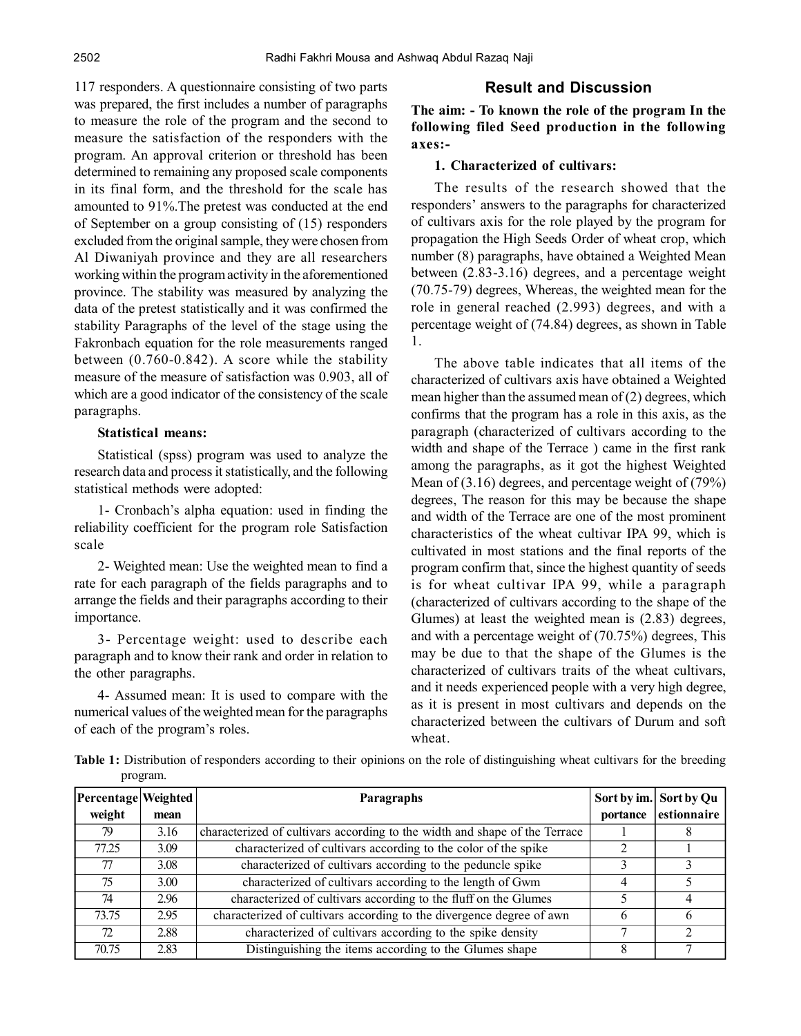117 responders. A questionnaire consisting of two parts was prepared, the first includes a number of paragraphs to measure the role of the program and the second to measure the satisfaction of the responders with the program. An approval criterion or threshold has been determined to remaining any proposed scale components in its final form, and the threshold for the scale has amounted to 91%.The pretest was conducted at the end of September on a group consisting of (15) responders excluded from the original sample, they were chosen from Al Diwaniyah province and they are all researchers working within the program activity in the aforementioned province. The stability was measured by analyzing the data of the pretest statistically and it was confirmed the stability Paragraphs of the level of the stage using the Fakronbach equation for the role measurements ranged between (0.760-0.842). A score while the stability measure of the measure of satisfaction was 0.903, all of which are a good indicator of the consistency of the scale paragraphs.

## **Statistical means:**

Statistical (spss) program was used to analyze the research data and process it statistically, and the following statistical methods were adopted:

1- Cronbach's alpha equation: used in finding the reliability coefficient for the program role Satisfaction scale

2- Weighted mean: Use the weighted mean to find a rate for each paragraph of the fields paragraphs and to arrange the fields and their paragraphs according to their importance.

3- Percentage weight: used to describe each paragraph and to know their rank and order in relation to the other paragraphs.

4- Assumed mean: It is used to compare with the numerical values of the weighted mean for the paragraphs of each of the program's roles.

# **Result and Discussion**

**The aim: - To known the role of the program In the following filed Seed production in the following axes:-**

# **1. Characterized of cultivars:**

The results of the research showed that the responders' answers to the paragraphs for characterized of cultivars axis for the role played by the program for propagation the High Seeds Order of wheat crop, which number (8) paragraphs, have obtained a Weighted Mean between (2.83-3.16) degrees, and a percentage weight (70.75-79) degrees, Whereas, the weighted mean for the role in general reached (2.993) degrees, and with a percentage weight of (74.84) degrees, as shown in Table 1.

The above table indicates that all items of the characterized of cultivars axis have obtained a Weighted mean higher than the assumed mean of  $(2)$  degrees, which confirms that the program has a role in this axis, as the paragraph (characterized of cultivars according to the width and shape of the Terrace ) came in the first rank among the paragraphs, as it got the highest Weighted Mean of (3.16) degrees, and percentage weight of (79%) degrees, The reason for this may be because the shape and width of the Terrace are one of the most prominent characteristics of the wheat cultivar IPA 99, which is cultivated in most stations and the final reports of the program confirm that, since the highest quantity of seeds is for wheat cultivar IPA 99, while a paragraph (characterized of cultivars according to the shape of the Glumes) at least the weighted mean is (2.83) degrees, and with a percentage weight of (70.75%) degrees, This may be due to that the shape of the Glumes is the characterized of cultivars traits of the wheat cultivars, and it needs experienced people with a very high degree, as it is present in most cultivars and depends on the characterized between the cultivars of Durum and soft wheat.

**Table 1:** Distribution of responders according to their opinions on the role of distinguishing wheat cultivars for the breeding program.

| Percentage Weighted |      | <b>Paragraphs</b>                                                          | Sort by im. | <b>Sort by Qu</b> |
|---------------------|------|----------------------------------------------------------------------------|-------------|-------------------|
| weight              | mean |                                                                            | portance    | estionnaire       |
| 79                  | 3.16 | characterized of cultivars according to the width and shape of the Terrace |             |                   |
| 77.25               | 3.09 | characterized of cultivars according to the color of the spike             |             |                   |
| 77                  | 3.08 | characterized of cultivars according to the peduncle spike                 |             |                   |
| 75                  | 3.00 | characterized of cultivars according to the length of Gwm                  |             |                   |
| 74                  | 2.96 | characterized of cultivars according to the fluff on the Glumes            |             |                   |
| 73.75               | 2.95 | characterized of cultivars according to the divergence degree of awn       | h           | <sub>b</sub>      |
| 72                  | 2.88 | characterized of cultivars according to the spike density                  |             |                   |
| 70.75               | 2.83 | Distinguishing the items according to the Glumes shape                     |             |                   |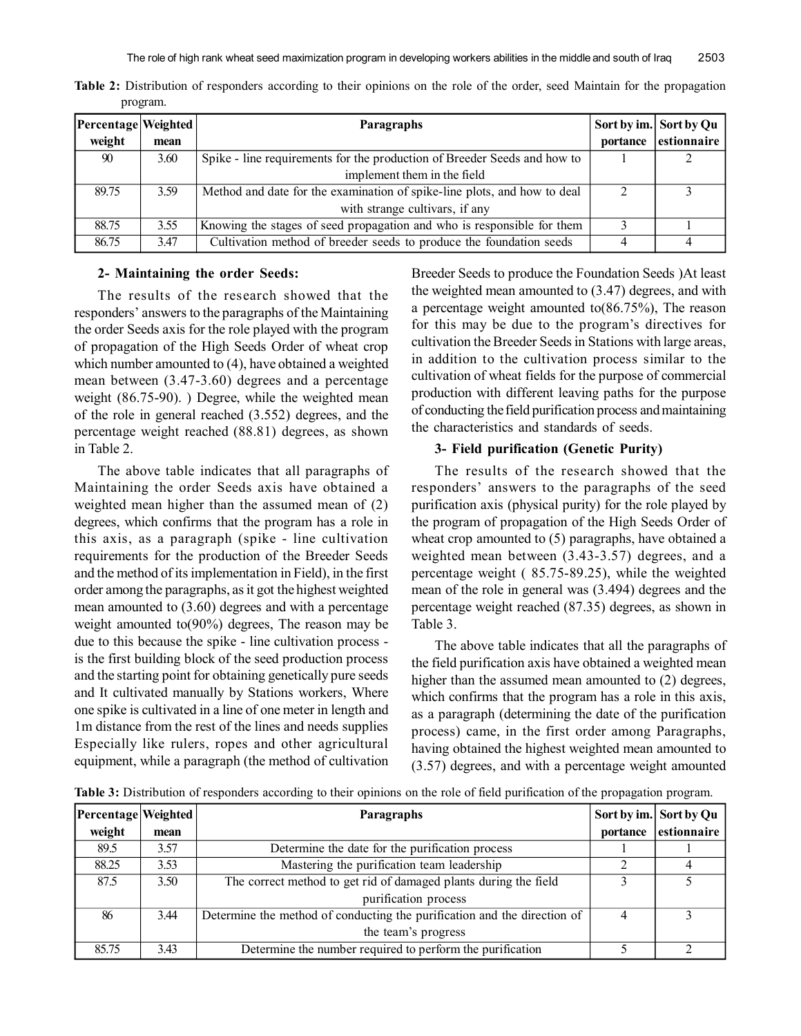| Percentage   Weighted |      | <b>Paragraphs</b>                                                        |          | Sort by im. Sort by Qu |
|-----------------------|------|--------------------------------------------------------------------------|----------|------------------------|
| weight                | mean |                                                                          | portance | estionnaire            |
| 90                    | 3.60 | Spike - line requirements for the production of Breeder Seeds and how to |          |                        |
|                       |      | implement them in the field                                              |          |                        |
| 89.75                 | 3.59 | Method and date for the examination of spike-line plots, and how to deal |          |                        |
|                       |      | with strange cultivars, if any                                           |          |                        |
| 88.75                 | 3.55 | Knowing the stages of seed propagation and who is responsible for them   |          |                        |
| 86.75                 | 3.47 | Cultivation method of breeder seeds to produce the foundation seeds      |          |                        |

**Table 2:** Distribution of responders according to their opinions on the role of the order, seed Maintain for the propagation program.

## **2- Maintaining the order Seeds:**

The results of the research showed that the responders' answers to the paragraphs of the Maintaining the order Seeds axis for the role played with the program of propagation of the High Seeds Order of wheat crop which number amounted to (4), have obtained a weighted mean between (3.47-3.60) degrees and a percentage weight (86.75-90). ) Degree, while the weighted mean of the role in general reached (3.552) degrees, and the percentage weight reached (88.81) degrees, as shown in Table 2.

The above table indicates that all paragraphs of Maintaining the order Seeds axis have obtained a weighted mean higher than the assumed mean of (2) degrees, which confirms that the program has a role in this axis, as a paragraph (spike - line cultivation requirements for the production of the Breeder Seeds and the method of its implementation in Field), in the first order among the paragraphs, as it got the highest weighted mean amounted to (3.60) degrees and with a percentage weight amounted to(90%) degrees, The reason may be due to this because the spike - line cultivation process is the first building block of the seed production process and the starting point for obtaining genetically pure seeds and It cultivated manually by Stations workers, Where one spike is cultivated in a line of one meter in length and 1m distance from the rest of the lines and needs supplies Especially like rulers, ropes and other agricultural equipment, while a paragraph (the method of cultivation

Breeder Seeds to produce the Foundation Seeds )At least the weighted mean amounted to (3.47) degrees, and with a percentage weight amounted to(86.75%), The reason for this may be due to the program's directives for cultivation the Breeder Seeds in Stations with large areas, in addition to the cultivation process similar to the cultivation of wheat fields for the purpose of commercial production with different leaving paths for the purpose of conducting the field purification process and maintaining the characteristics and standards of seeds.

## **3- Field purification (Genetic Purity)**

The results of the research showed that the responders' answers to the paragraphs of the seed purification axis (physical purity) for the role played by the program of propagation of the High Seeds Order of wheat crop amounted to (5) paragraphs, have obtained a weighted mean between (3.43-3.57) degrees, and a percentage weight ( 85.75-89.25), while the weighted mean of the role in general was (3.494) degrees and the percentage weight reached (87.35) degrees, as shown in Table 3.

The above table indicates that all the paragraphs of the field purification axis have obtained a weighted mean higher than the assumed mean amounted to (2) degrees, which confirms that the program has a role in this axis, as a paragraph (determining the date of the purification process) came, in the first order among Paragraphs, having obtained the highest weighted mean amounted to (3.57) degrees, and with a percentage weight amounted

**Table 3:** Distribution of responders according to their opinions on the role of field purification of the propagation program.

| Percentage   Weighted |      | Paragraphs                                                               |          | Sort by im. Sort by Qu |
|-----------------------|------|--------------------------------------------------------------------------|----------|------------------------|
| weight                | mean |                                                                          | portance | estionnaire            |
| 89.5                  | 3.57 | Determine the date for the purification process                          |          |                        |
| 88.25                 | 3.53 | Mastering the purification team leadership                               |          |                        |
| 87.5                  | 3.50 | The correct method to get rid of damaged plants during the field         |          |                        |
|                       |      | purification process                                                     |          |                        |
| 86                    | 3.44 | Determine the method of conducting the purification and the direction of | 4        |                        |
|                       |      | the team's progress                                                      |          |                        |
| 85.75                 | 3.43 | Determine the number required to perform the purification                |          |                        |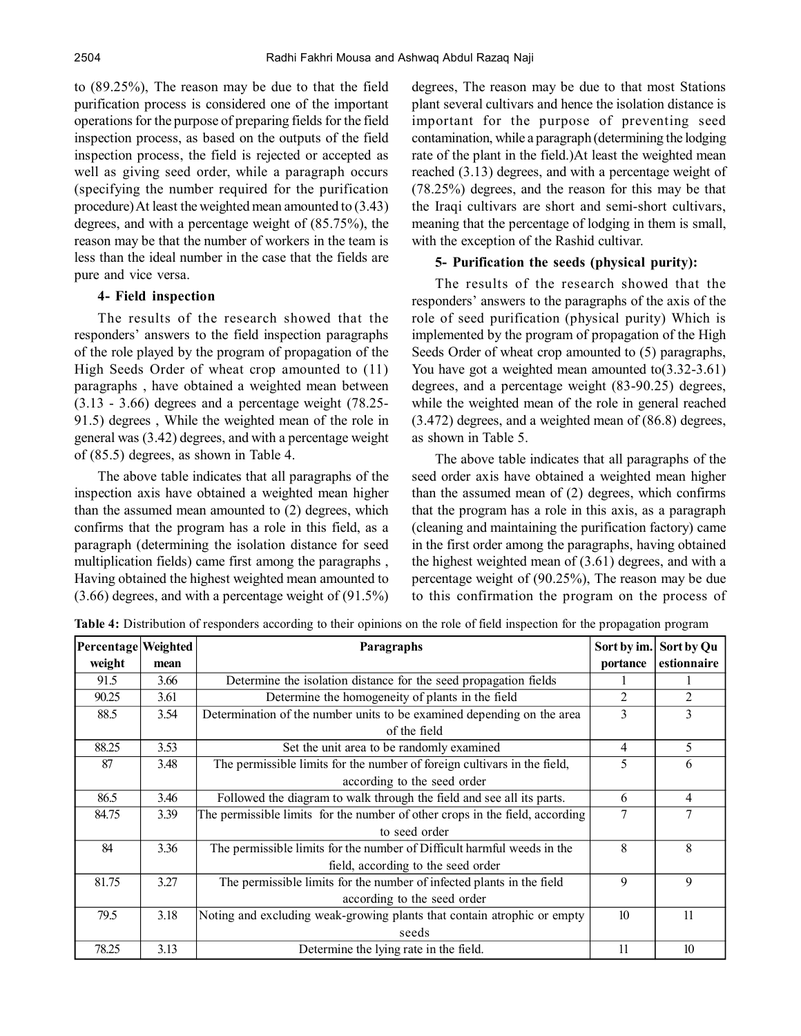to (89.25%), The reason may be due to that the field purification process is considered one of the important operations for the purpose of preparing fields for the field inspection process, as based on the outputs of the field inspection process, the field is rejected or accepted as well as giving seed order, while a paragraph occurs (specifying the number required for the purification procedure) At least the weighted mean amounted to (3.43) degrees, and with a percentage weight of (85.75%), the reason may be that the number of workers in the team is less than the ideal number in the case that the fields are pure and vice versa.

## **4- Field inspection**

The results of the research showed that the responders' answers to the field inspection paragraphs of the role played by the program of propagation of the High Seeds Order of wheat crop amounted to (11) paragraphs , have obtained a weighted mean between (3.13 - 3.66) degrees and a percentage weight (78.25- 91.5) degrees , While the weighted mean of the role in general was (3.42) degrees, and with a percentage weight of (85.5) degrees, as shown in Table 4.

The above table indicates that all paragraphs of the inspection axis have obtained a weighted mean higher than the assumed mean amounted to (2) degrees, which confirms that the program has a role in this field, as a paragraph (determining the isolation distance for seed multiplication fields) came first among the paragraphs , Having obtained the highest weighted mean amounted to (3.66) degrees, and with a percentage weight of (91.5%) degrees, The reason may be due to that most Stations plant several cultivars and hence the isolation distance is important for the purpose of preventing seed contamination, while a paragraph (determining the lodging rate of the plant in the field.)At least the weighted mean reached (3.13) degrees, and with a percentage weight of (78.25%) degrees, and the reason for this may be that the Iraqi cultivars are short and semi-short cultivars, meaning that the percentage of lodging in them is small, with the exception of the Rashid cultivar.

# **5- Purification the seeds (physical purity):**

The results of the research showed that the responders' answers to the paragraphs of the axis of the role of seed purification (physical purity) Which is implemented by the program of propagation of the High Seeds Order of wheat crop amounted to (5) paragraphs, You have got a weighted mean amounted to  $(3.32-3.61)$ degrees, and a percentage weight (83-90.25) degrees, while the weighted mean of the role in general reached (3.472) degrees, and a weighted mean of (86.8) degrees, as shown in Table 5.

The above table indicates that all paragraphs of the seed order axis have obtained a weighted mean higher than the assumed mean of (2) degrees, which confirms that the program has a role in this axis, as a paragraph (cleaning and maintaining the purification factory) came in the first order among the paragraphs, having obtained the highest weighted mean of (3.61) degrees, and with a percentage weight of (90.25%), The reason may be due to this confirmation the program on the process of

| Percentage Weighted |      | Paragraphs                                                                   | Sort by im. | Sort by Qu     |
|---------------------|------|------------------------------------------------------------------------------|-------------|----------------|
| weight              | mean |                                                                              | portance    | estionnaire    |
| 91.5                | 3.66 | Determine the isolation distance for the seed propagation fields             |             |                |
| 90.25               | 3.61 | Determine the homogeneity of plants in the field                             | 2           | 2              |
| 88.5                | 3.54 | Determination of the number units to be examined depending on the area       | 3           | 3              |
|                     |      | of the field                                                                 |             |                |
| 88.25               | 3.53 | Set the unit area to be randomly examined                                    | 4           | 5              |
| 87                  | 3.48 | The permissible limits for the number of foreign cultivars in the field,     | 5           | 6              |
|                     |      | according to the seed order                                                  |             |                |
| 86.5                | 3.46 | Followed the diagram to walk through the field and see all its parts.        | 6           | 4              |
| 84.75               | 3.39 | The permissible limits for the number of other crops in the field, according | 7           | $\overline{7}$ |
|                     |      | to seed order                                                                |             |                |
| 84                  | 3.36 | The permissible limits for the number of Difficult harmful weeds in the      | 8           | 8              |
|                     |      | field, according to the seed order                                           |             |                |
| 81.75               | 3.27 | The permissible limits for the number of infected plants in the field        | 9           | 9              |
|                     |      | according to the seed order                                                  |             |                |
| 79.5                | 3.18 | Noting and excluding weak-growing plants that contain atrophic or empty      | 10          | 11             |
|                     |      | seeds                                                                        |             |                |
| 78.25               | 3.13 | Determine the lying rate in the field.                                       | 11          | 10             |

**Table 4:** Distribution of responders according to their opinions on the role of field inspection for the propagation program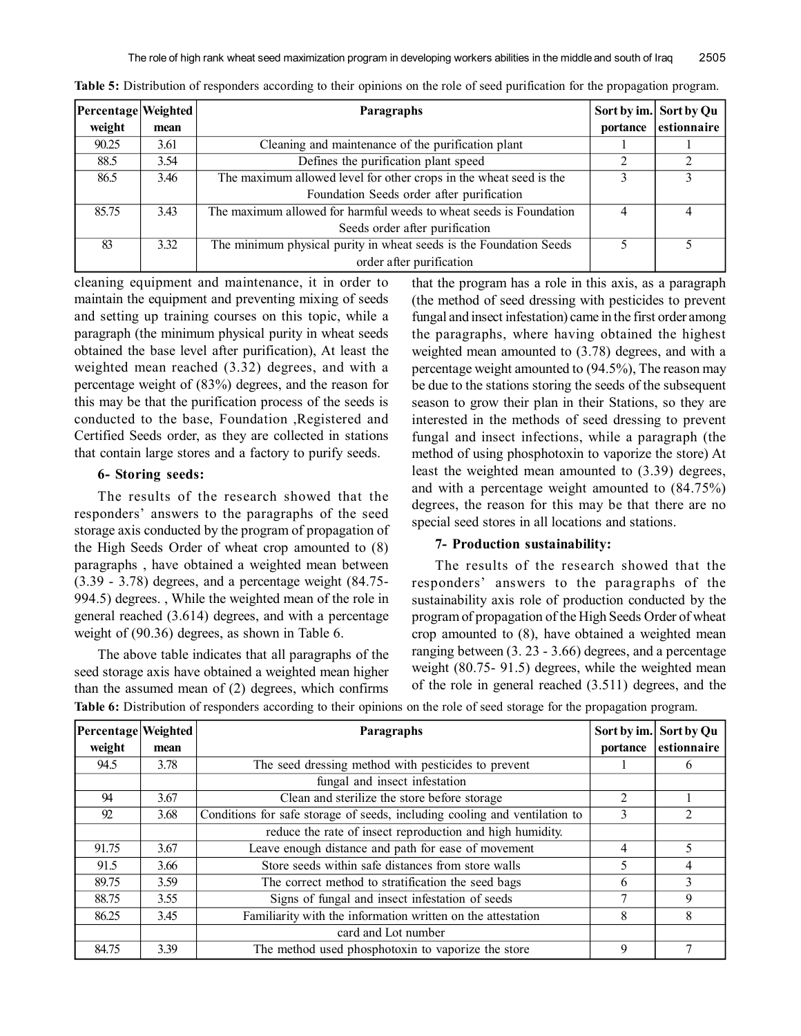| Percentage Weighted |      | <b>Paragraphs</b>                                                  |          | Sort by im. Sort by Qu |
|---------------------|------|--------------------------------------------------------------------|----------|------------------------|
| weight              | mean |                                                                    | portance | estionnaire            |
| 90.25               | 3.61 | Cleaning and maintenance of the purification plant                 |          |                        |
| 88.5                | 3.54 | Defines the purification plant speed                               |          |                        |
| 86.5                | 3.46 | The maximum allowed level for other crops in the wheat seed is the |          |                        |
|                     |      | Foundation Seeds order after purification                          |          |                        |
| 85.75               | 3.43 | The maximum allowed for harmful weeds to wheat seeds is Foundation |          |                        |
|                     |      | Seeds order after purification                                     |          |                        |
| 83                  | 3.32 | The minimum physical purity in wheat seeds is the Foundation Seeds |          |                        |
|                     |      | order after purification                                           |          |                        |

**Table 5:** Distribution of responders according to their opinions on the role of seed purification for the propagation program.

cleaning equipment and maintenance, it in order to maintain the equipment and preventing mixing of seeds and setting up training courses on this topic, while a paragraph (the minimum physical purity in wheat seeds obtained the base level after purification), At least the weighted mean reached (3.32) degrees, and with a percentage weight of (83%) degrees, and the reason for this may be that the purification process of the seeds is conducted to the base, Foundation ,Registered and Certified Seeds order, as they are collected in stations that contain large stores and a factory to purify seeds.

# **6- Storing seeds:**

The results of the research showed that the responders' answers to the paragraphs of the seed storage axis conducted by the program of propagation of the High Seeds Order of wheat crop amounted to (8) paragraphs , have obtained a weighted mean between (3.39 - 3.78) degrees, and a percentage weight (84.75- 994.5) degrees. , While the weighted mean of the role in general reached (3.614) degrees, and with a percentage weight of (90.36) degrees, as shown in Table 6.

The above table indicates that all paragraphs of the seed storage axis have obtained a weighted mean higher than the assumed mean of (2) degrees, which confirms that the program has a role in this axis, as a paragraph (the method of seed dressing with pesticides to prevent fungal and insect infestation) came in the first order among the paragraphs, where having obtained the highest weighted mean amounted to (3.78) degrees, and with a percentage weight amounted to (94.5%), The reason may be due to the stations storing the seeds of the subsequent season to grow their plan in their Stations, so they are interested in the methods of seed dressing to prevent fungal and insect infections, while a paragraph (the method of using phosphotoxin to vaporize the store) At least the weighted mean amounted to (3.39) degrees, and with a percentage weight amounted to (84.75%) degrees, the reason for this may be that there are no special seed stores in all locations and stations.

#### **7- Production sustainability:**

The results of the research showed that the responders' answers to the paragraphs of the sustainability axis role of production conducted by the program of propagation of the High Seeds Order of wheat crop amounted to (8), have obtained a weighted mean ranging between (3. 23 - 3.66) degrees, and a percentage weight (80.75- 91.5) degrees, while the weighted mean of the role in general reached (3.511) degrees, and the

| Percentage Weighted |      | Paragraphs                                                                 | Sort by im.    | Sort by Qu     |
|---------------------|------|----------------------------------------------------------------------------|----------------|----------------|
| weight              | mean |                                                                            | portance       | estionnaire    |
| 94.5                | 3.78 | The seed dressing method with pesticides to prevent                        |                | $\mathfrak b$  |
|                     |      | fungal and insect infestation                                              |                |                |
| 94                  | 3.67 | Clean and sterilize the store before storage                               | $\mathfrak{D}$ |                |
| 92                  | 3.68 | Conditions for safe storage of seeds, including cooling and ventilation to | 3              | $\mathfrak{D}$ |
|                     |      | reduce the rate of insect reproduction and high humidity.                  |                |                |
| 91.75               | 3.67 | Leave enough distance and path for ease of movement                        | 4              | 5              |
| 91.5                | 3.66 | Store seeds within safe distances from store walls                         |                | 4              |
| 89.75               | 3.59 | The correct method to stratification the seed bags                         | 6              | $\mathcal{L}$  |
| 88.75               | 3.55 | Signs of fungal and insect infestation of seeds                            |                | 9              |
| 86.25               | 3.45 | Familiarity with the information written on the attestation                | 8              | 8              |
|                     |      | card and Lot number                                                        |                |                |
| 84.75               | 3.39 | The method used phosphotoxin to vaporize the store                         | 9              |                |

**Table 6:** Distribution of responders according to their opinions on the role of seed storage for the propagation program.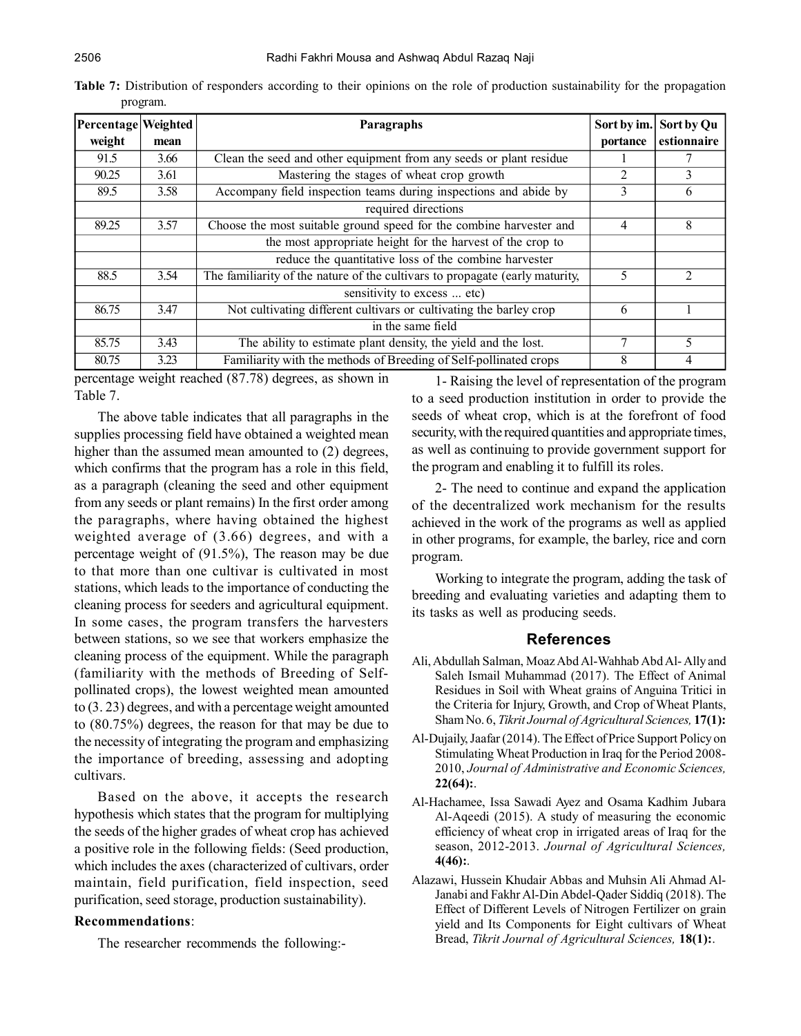| Percentage Weighted |      | Paragraphs                                                                   | Sort by im. | Sort by Qu     |
|---------------------|------|------------------------------------------------------------------------------|-------------|----------------|
| weight              | mean |                                                                              | portance    | estionnaire    |
| 91.5                | 3.66 | Clean the seed and other equipment from any seeds or plant residue           |             |                |
| 90.25               | 3.61 | Mastering the stages of wheat crop growth                                    | 2           | 3              |
| 89.5                | 3.58 | Accompany field inspection teams during inspections and abide by             | 3           | 6              |
|                     |      | required directions                                                          |             |                |
| 89.25               | 3.57 | Choose the most suitable ground speed for the combine harvester and          | 4           | 8              |
|                     |      | the most appropriate height for the harvest of the crop to                   |             |                |
|                     |      | reduce the quantitative loss of the combine harvester                        |             |                |
| 88.5                | 3.54 | The familiarity of the nature of the cultivars to propagate (early maturity, | 5           | $\overline{2}$ |
|                     |      | sensitivity to excess  etc)                                                  |             |                |
| 86.75               | 3.47 | Not cultivating different cultivars or cultivating the barley crop           | 6           |                |
|                     |      | in the same field                                                            |             |                |
| 85.75               | 3.43 | The ability to estimate plant density, the yield and the lost.               | 7           | 5              |
| 80.75               | 3.23 | Familiarity with the methods of Breeding of Self-pollinated crops            | 8           | 4              |

**Table 7:** Distribution of responders according to their opinions on the role of production sustainability for the propagation program.

percentage weight reached (87.78) degrees, as shown in Table 7.

The above table indicates that all paragraphs in the supplies processing field have obtained a weighted mean higher than the assumed mean amounted to (2) degrees, which confirms that the program has a role in this field, as a paragraph (cleaning the seed and other equipment from any seeds or plant remains) In the first order among the paragraphs, where having obtained the highest weighted average of (3.66) degrees, and with a percentage weight of (91.5%), The reason may be due to that more than one cultivar is cultivated in most stations, which leads to the importance of conducting the cleaning process for seeders and agricultural equipment. In some cases, the program transfers the harvesters between stations, so we see that workers emphasize the cleaning process of the equipment. While the paragraph (familiarity with the methods of Breeding of Selfpollinated crops), the lowest weighted mean amounted to (3. 23) degrees, and with a percentage weight amounted to (80.75%) degrees, the reason for that may be due to the necessity of integrating the program and emphasizing the importance of breeding, assessing and adopting cultivars.

Based on the above, it accepts the research hypothesis which states that the program for multiplying the seeds of the higher grades of wheat crop has achieved a positive role in the following fields: (Seed production, which includes the axes (characterized of cultivars, order maintain, field purification, field inspection, seed purification, seed storage, production sustainability).

#### **Recommendations**:

The researcher recommends the following:-

1- Raising the level of representation of the program to a seed production institution in order to provide the seeds of wheat crop, which is at the forefront of food security, with the required quantities and appropriate times, as well as continuing to provide government support for the program and enabling it to fulfill its roles.

2- The need to continue and expand the application of the decentralized work mechanism for the results achieved in the work of the programs as well as applied in other programs, for example, the barley, rice and corn program.

Working to integrate the program, adding the task of breeding and evaluating varieties and adapting them to its tasks as well as producing seeds.

## **References**

- Ali, Abdullah Salman, Moaz Abd Al-Wahhab Abd Al- Ally and Saleh Ismail Muhammad (2017). The Effect of Animal Residues in Soil with Wheat grains of Anguina Tritici in the Criteria for Injury, Growth, and Crop of Wheat Plants, Sham No. 6, *Tikrit Journal of Agricultural Sciences,* **17(1):**
- Al-Dujaily, Jaafar (2014). The Effect of Price Support Policy on Stimulating Wheat Production in Iraq for the Period 2008- 2010, *Journal of Administrative and Economic Sciences,* **22(64):**.
- Al-Hachamee, Issa Sawadi Ayez and Osama Kadhim Jubara Al-Aqeedi (2015). A study of measuring the economic efficiency of wheat crop in irrigated areas of Iraq for the season, 2012-2013. *Journal of Agricultural Sciences,* **4(46):**.
- Alazawi, Hussein Khudair Abbas and Muhsin Ali Ahmad Al-Janabi and Fakhr Al-Din Abdel-Qader Siddiq (2018). The Effect of Different Levels of Nitrogen Fertilizer on grain yield and Its Components for Eight cultivars of Wheat Bread, *Tikrit Journal of Agricultural Sciences,* **18(1):**.